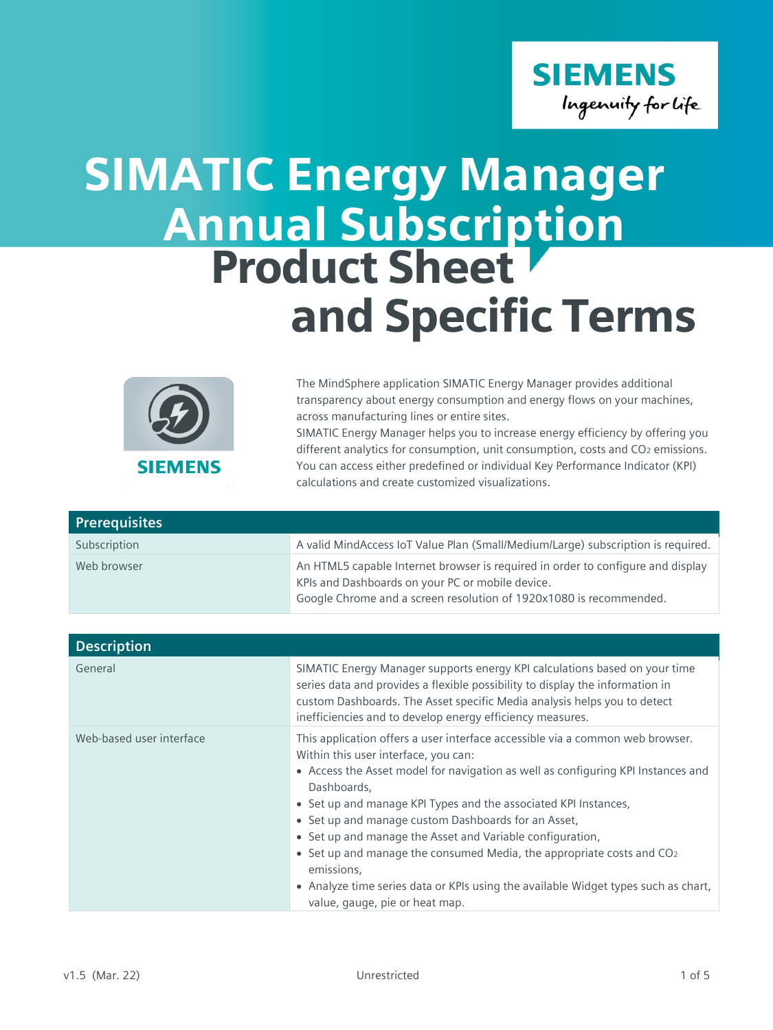

## SIMATIC Energy Manager Product Sheet and Specific Terms Annual Subscription



The MindSphere application SIMATIC Energy Manager provides additional transparency about energy consumption and energy flows on your machines, across manufacturing lines or entire sites. SIMATIC Energy Manager helps you to increase energy efficiency by offering you different analytics for consumption, unit consumption, costs and CO<sub>2</sub> emissions. You can access either predefined or individual Key Performance Indicator (KPI)

| <b>Prerequisites</b> |                                                                                                                                                                                                           |
|----------------------|-----------------------------------------------------------------------------------------------------------------------------------------------------------------------------------------------------------|
| Subscription         | A valid MindAccess IoT Value Plan (Small/Medium/Large) subscription is required.                                                                                                                          |
| Web browser          | An HTML5 capable Internet browser is required in order to configure and display<br>KPIs and Dashboards on your PC or mobile device.<br>Google Chrome and a screen resolution of 1920x1080 is recommended. |

calculations and create customized visualizations.

| <b>Description</b>       |                                                                                                                                                                                                                                                                                                                                                                                                                                                                                                                                                                                                                                            |
|--------------------------|--------------------------------------------------------------------------------------------------------------------------------------------------------------------------------------------------------------------------------------------------------------------------------------------------------------------------------------------------------------------------------------------------------------------------------------------------------------------------------------------------------------------------------------------------------------------------------------------------------------------------------------------|
| General                  | SIMATIC Energy Manager supports energy KPI calculations based on your time<br>series data and provides a flexible possibility to display the information in<br>custom Dashboards. The Asset specific Media analysis helps you to detect<br>inefficiencies and to develop energy efficiency measures.                                                                                                                                                                                                                                                                                                                                       |
| Web-based user interface | This application offers a user interface accessible via a common web browser.<br>Within this user interface, you can:<br>• Access the Asset model for navigation as well as configuring KPI Instances and<br>Dashboards,<br>• Set up and manage KPI Types and the associated KPI Instances,<br>• Set up and manage custom Dashboards for an Asset,<br>• Set up and manage the Asset and Variable configuration,<br>• Set up and manage the consumed Media, the appropriate costs and CO <sub>2</sub><br>emissions,<br>• Analyze time series data or KPIs using the available Widget types such as chart,<br>value, gauge, pie or heat map. |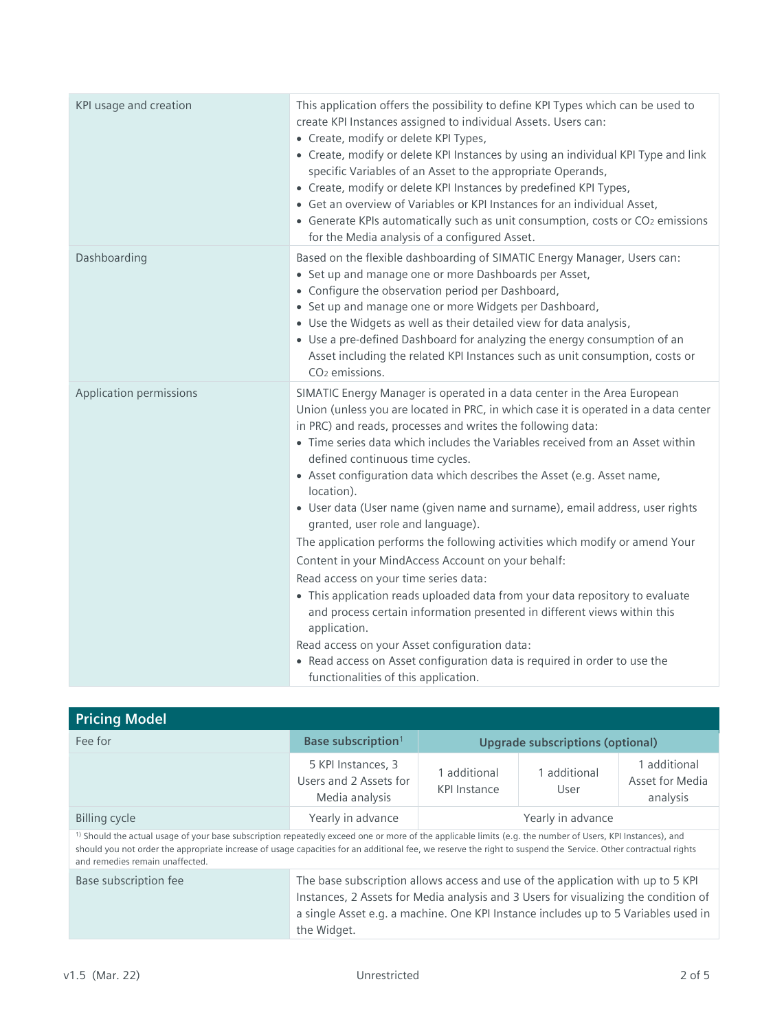| KPI usage and creation  | This application offers the possibility to define KPI Types which can be used to<br>create KPI Instances assigned to individual Assets. Users can:<br>• Create, modify or delete KPI Types,<br>• Create, modify or delete KPI Instances by using an individual KPI Type and link<br>specific Variables of an Asset to the appropriate Operands,<br>• Create, modify or delete KPI Instances by predefined KPI Types,<br>• Get an overview of Variables or KPI Instances for an individual Asset,<br>• Generate KPIs automatically such as unit consumption, costs or CO2 emissions<br>for the Media analysis of a configured Asset.                                                                                                                                                                                                                                                                                                                                                                                                                                                             |
|-------------------------|-------------------------------------------------------------------------------------------------------------------------------------------------------------------------------------------------------------------------------------------------------------------------------------------------------------------------------------------------------------------------------------------------------------------------------------------------------------------------------------------------------------------------------------------------------------------------------------------------------------------------------------------------------------------------------------------------------------------------------------------------------------------------------------------------------------------------------------------------------------------------------------------------------------------------------------------------------------------------------------------------------------------------------------------------------------------------------------------------|
| Dashboarding            | Based on the flexible dashboarding of SIMATIC Energy Manager, Users can:<br>• Set up and manage one or more Dashboards per Asset,<br>• Configure the observation period per Dashboard,<br>• Set up and manage one or more Widgets per Dashboard,<br>• Use the Widgets as well as their detailed view for data analysis,<br>• Use a pre-defined Dashboard for analyzing the energy consumption of an<br>Asset including the related KPI Instances such as unit consumption, costs or<br>CO <sub>2</sub> emissions.                                                                                                                                                                                                                                                                                                                                                                                                                                                                                                                                                                               |
| Application permissions | SIMATIC Energy Manager is operated in a data center in the Area European<br>Union (unless you are located in PRC, in which case it is operated in a data center<br>in PRC) and reads, processes and writes the following data:<br>• Time series data which includes the Variables received from an Asset within<br>defined continuous time cycles.<br>• Asset configuration data which describes the Asset (e.g. Asset name,<br>location).<br>· User data (User name (given name and surname), email address, user rights<br>granted, user role and language).<br>The application performs the following activities which modify or amend Your<br>Content in your MindAccess Account on your behalf:<br>Read access on your time series data:<br>• This application reads uploaded data from your data repository to evaluate<br>and process certain information presented in different views within this<br>application.<br>Read access on your Asset configuration data:<br>• Read access on Asset configuration data is required in order to use the<br>functionalities of this application. |

| <b>Pricing Model</b>                                                                                                                                                                                                                                                                                                                                                       |                                                                                                                                                                                                                                                                             |                                  |                      |                                             |
|----------------------------------------------------------------------------------------------------------------------------------------------------------------------------------------------------------------------------------------------------------------------------------------------------------------------------------------------------------------------------|-----------------------------------------------------------------------------------------------------------------------------------------------------------------------------------------------------------------------------------------------------------------------------|----------------------------------|----------------------|---------------------------------------------|
| Fee for                                                                                                                                                                                                                                                                                                                                                                    | Base subscription <sup>1</sup>                                                                                                                                                                                                                                              | Upgrade subscriptions (optional) |                      |                                             |
|                                                                                                                                                                                                                                                                                                                                                                            | 5 KPI Instances, 3<br>Users and 2 Assets for<br>Media analysis                                                                                                                                                                                                              | 1 additional<br>KPI Instance     | 1 additional<br>User | 1 additional<br>Asset for Media<br>analysis |
| <b>Billing cycle</b>                                                                                                                                                                                                                                                                                                                                                       | Yearly in advance                                                                                                                                                                                                                                                           | Yearly in advance                |                      |                                             |
| <sup>1)</sup> Should the actual usage of your base subscription repeatedly exceed one or more of the applicable limits (e.g. the number of Users, KPI Instances), and<br>should you not order the appropriate increase of usage capacities for an additional fee, we reserve the right to suspend the Service. Other contractual rights<br>and remedies remain unaffected. |                                                                                                                                                                                                                                                                             |                                  |                      |                                             |
| Base subscription fee                                                                                                                                                                                                                                                                                                                                                      | The base subscription allows access and use of the application with up to 5 KPI<br>Instances, 2 Assets for Media analysis and 3 Users for visualizing the condition of<br>a single Asset e.g. a machine. One KPI Instance includes up to 5 Variables used in<br>the Widget. |                                  |                      |                                             |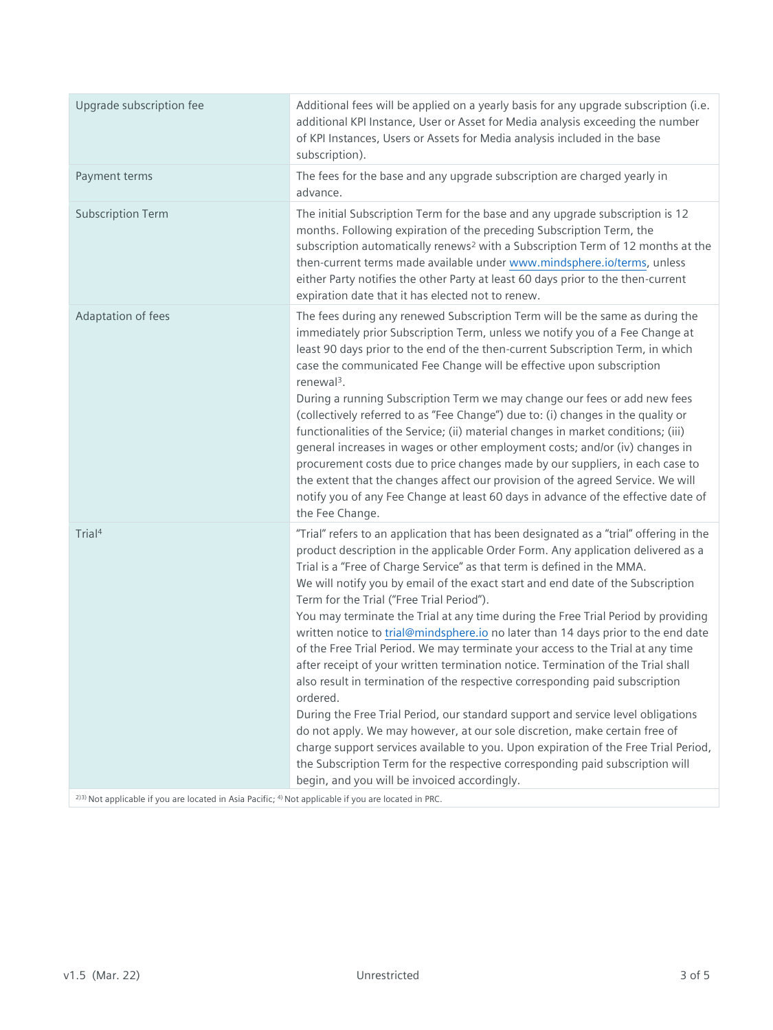| Upgrade subscription fee                                                                                        | Additional fees will be applied on a yearly basis for any upgrade subscription (i.e.<br>additional KPI Instance, User or Asset for Media analysis exceeding the number<br>of KPI Instances, Users or Assets for Media analysis included in the base<br>subscription).                                                                                                                                                                                                                                                                                                                                                                                                                                                                                                                                                                                                                                                                                                                                                                                                                                                                                                                                                        |
|-----------------------------------------------------------------------------------------------------------------|------------------------------------------------------------------------------------------------------------------------------------------------------------------------------------------------------------------------------------------------------------------------------------------------------------------------------------------------------------------------------------------------------------------------------------------------------------------------------------------------------------------------------------------------------------------------------------------------------------------------------------------------------------------------------------------------------------------------------------------------------------------------------------------------------------------------------------------------------------------------------------------------------------------------------------------------------------------------------------------------------------------------------------------------------------------------------------------------------------------------------------------------------------------------------------------------------------------------------|
| Payment terms                                                                                                   | The fees for the base and any upgrade subscription are charged yearly in<br>advance.                                                                                                                                                                                                                                                                                                                                                                                                                                                                                                                                                                                                                                                                                                                                                                                                                                                                                                                                                                                                                                                                                                                                         |
| <b>Subscription Term</b>                                                                                        | The initial Subscription Term for the base and any upgrade subscription is 12<br>months. Following expiration of the preceding Subscription Term, the<br>subscription automatically renews <sup>2</sup> with a Subscription Term of 12 months at the<br>then-current terms made available under www.mindsphere.io/terms, unless<br>either Party notifies the other Party at least 60 days prior to the then-current<br>expiration date that it has elected not to renew.                                                                                                                                                                                                                                                                                                                                                                                                                                                                                                                                                                                                                                                                                                                                                     |
| Adaptation of fees                                                                                              | The fees during any renewed Subscription Term will be the same as during the<br>immediately prior Subscription Term, unless we notify you of a Fee Change at<br>least 90 days prior to the end of the then-current Subscription Term, in which<br>case the communicated Fee Change will be effective upon subscription<br>renewal <sup>3</sup> .<br>During a running Subscription Term we may change our fees or add new fees<br>(collectively referred to as "Fee Change") due to: (i) changes in the quality or<br>functionalities of the Service; (ii) material changes in market conditions; (iii)<br>general increases in wages or other employment costs; and/or (iv) changes in<br>procurement costs due to price changes made by our suppliers, in each case to<br>the extent that the changes affect our provision of the agreed Service. We will<br>notify you of any Fee Change at least 60 days in advance of the effective date of<br>the Fee Change.                                                                                                                                                                                                                                                           |
| Trial <sup>4</sup>                                                                                              | "Trial" refers to an application that has been designated as a "trial" offering in the<br>product description in the applicable Order Form. Any application delivered as a<br>Trial is a "Free of Charge Service" as that term is defined in the MMA.<br>We will notify you by email of the exact start and end date of the Subscription<br>Term for the Trial ("Free Trial Period").<br>You may terminate the Trial at any time during the Free Trial Period by providing<br>written notice to trial@mindsphere.io no later than 14 days prior to the end date<br>of the Free Trial Period. We may terminate your access to the Trial at any time<br>after receipt of your written termination notice. Termination of the Trial shall<br>also result in termination of the respective corresponding paid subscription<br>ordered.<br>During the Free Trial Period, our standard support and service level obligations<br>do not apply. We may however, at our sole discretion, make certain free of<br>charge support services available to you. Upon expiration of the Free Trial Period,<br>the Subscription Term for the respective corresponding paid subscription will<br>begin, and you will be invoiced accordingly. |
| 2)3) Not applicable if you are located in Asia Pacific; <sup>4)</sup> Not applicable if you are located in PRC. |                                                                                                                                                                                                                                                                                                                                                                                                                                                                                                                                                                                                                                                                                                                                                                                                                                                                                                                                                                                                                                                                                                                                                                                                                              |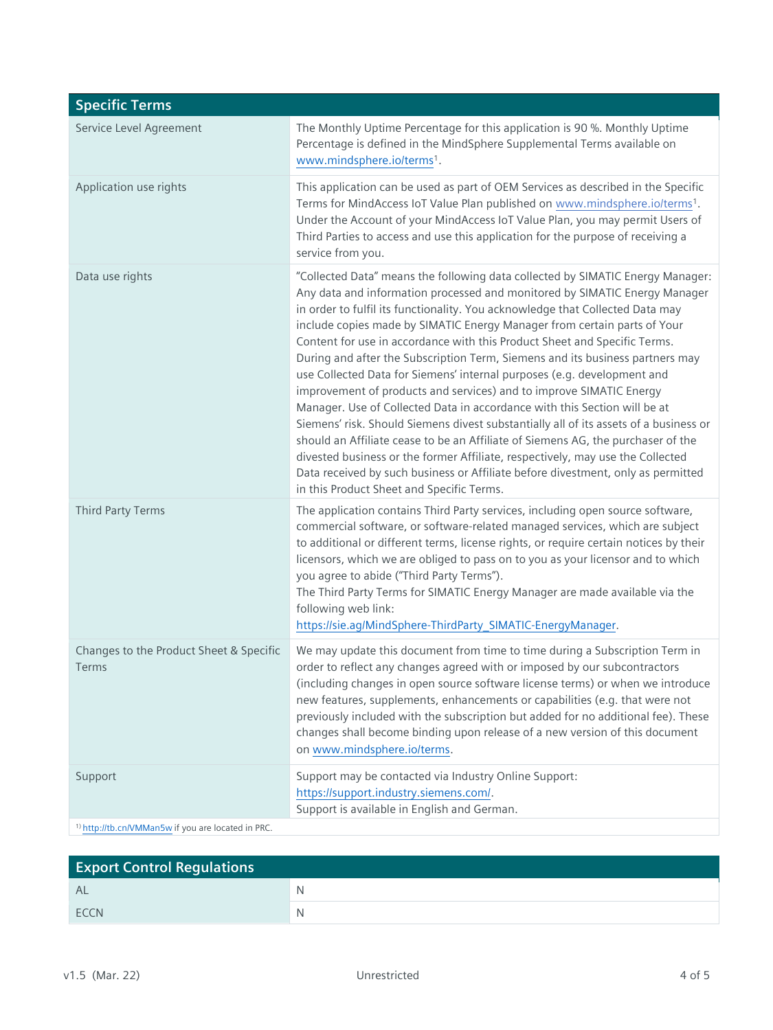| <b>Specific Terms</b>                                         |                                                                                                                                                                                                                                                                                                                                                                                                                                                                                                                                                                                                                                                                                                                                                                                                                                                                                                                                                                                                                                                                                                                        |
|---------------------------------------------------------------|------------------------------------------------------------------------------------------------------------------------------------------------------------------------------------------------------------------------------------------------------------------------------------------------------------------------------------------------------------------------------------------------------------------------------------------------------------------------------------------------------------------------------------------------------------------------------------------------------------------------------------------------------------------------------------------------------------------------------------------------------------------------------------------------------------------------------------------------------------------------------------------------------------------------------------------------------------------------------------------------------------------------------------------------------------------------------------------------------------------------|
| Service Level Agreement                                       | The Monthly Uptime Percentage for this application is 90 %. Monthly Uptime<br>Percentage is defined in the MindSphere Supplemental Terms available on<br>www.mindsphere.io/terms1.                                                                                                                                                                                                                                                                                                                                                                                                                                                                                                                                                                                                                                                                                                                                                                                                                                                                                                                                     |
| Application use rights                                        | This application can be used as part of OEM Services as described in the Specific<br>Terms for MindAccess IoT Value Plan published on www.mindsphere.io/terms <sup>1</sup> .<br>Under the Account of your MindAccess IoT Value Plan, you may permit Users of<br>Third Parties to access and use this application for the purpose of receiving a<br>service from you.                                                                                                                                                                                                                                                                                                                                                                                                                                                                                                                                                                                                                                                                                                                                                   |
| Data use rights                                               | "Collected Data" means the following data collected by SIMATIC Energy Manager:<br>Any data and information processed and monitored by SIMATIC Energy Manager<br>in order to fulfil its functionality. You acknowledge that Collected Data may<br>include copies made by SIMATIC Energy Manager from certain parts of Your<br>Content for use in accordance with this Product Sheet and Specific Terms.<br>During and after the Subscription Term, Siemens and its business partners may<br>use Collected Data for Siemens' internal purposes (e.g. development and<br>improvement of products and services) and to improve SIMATIC Energy<br>Manager. Use of Collected Data in accordance with this Section will be at<br>Siemens' risk. Should Siemens divest substantially all of its assets of a business or<br>should an Affiliate cease to be an Affiliate of Siemens AG, the purchaser of the<br>divested business or the former Affiliate, respectively, may use the Collected<br>Data received by such business or Affiliate before divestment, only as permitted<br>in this Product Sheet and Specific Terms. |
| <b>Third Party Terms</b>                                      | The application contains Third Party services, including open source software,<br>commercial software, or software-related managed services, which are subject<br>to additional or different terms, license rights, or require certain notices by their<br>licensors, which we are obliged to pass on to you as your licensor and to which<br>you agree to abide ("Third Party Terms").<br>The Third Party Terms for SIMATIC Energy Manager are made available via the<br>following web link:<br>https://sie.ag/MindSphere-ThirdParty_SIMATIC-EnergyManager.                                                                                                                                                                                                                                                                                                                                                                                                                                                                                                                                                           |
| Changes to the Product Sheet & Specific<br>Terms              | We may update this document from time to time during a Subscription Term in<br>order to reflect any changes agreed with or imposed by our subcontractors<br>(including changes in open source software license terms) or when we introduce<br>new features, supplements, enhancements or capabilities (e.g. that were not<br>previously included with the subscription but added for no additional fee). These<br>changes shall become binding upon release of a new version of this document<br>on www.mindsphere.io/terms.                                                                                                                                                                                                                                                                                                                                                                                                                                                                                                                                                                                           |
| Support                                                       | Support may be contacted via Industry Online Support:<br>https://support.industry.siemens.com/.<br>Support is available in English and German.                                                                                                                                                                                                                                                                                                                                                                                                                                                                                                                                                                                                                                                                                                                                                                                                                                                                                                                                                                         |
| <sup>1)</sup> http://tb.cn/VMMan5w if you are located in PRC. |                                                                                                                                                                                                                                                                                                                                                                                                                                                                                                                                                                                                                                                                                                                                                                                                                                                                                                                                                                                                                                                                                                                        |

| <b>Export Control Regulations</b> |              |
|-----------------------------------|--------------|
| AL                                | <sup>N</sup> |
| <b>FCCN</b>                       | <sup>N</sup> |